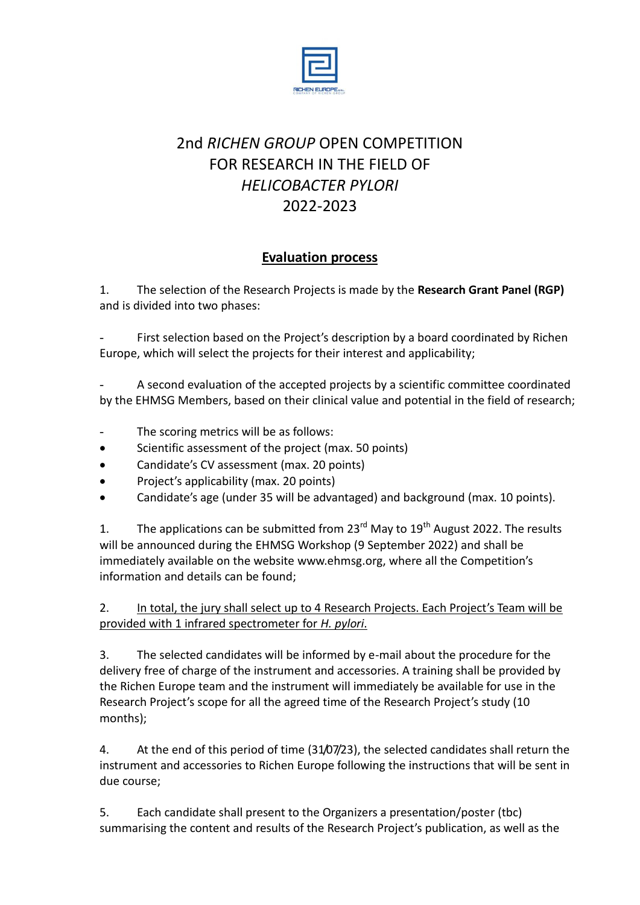

## 2nd *RICHEN GROUP* OPEN COMPETITION FOR RESEARCH IN THE FIELD OF *HELICOBACTER PYLORI* 2022-2023

## **Evaluation process**

1. The selection of the Research Projects is made by the **Research Grant Panel (RGP)** and is divided into two phases:

First selection based on the Project's description by a board coordinated by Richen Europe, which will select the projects for their interest and applicability;

A second evaluation of the accepted projects by a scientific committee coordinated by the EHMSG Members, based on their clinical value and potential in the field of research;

- The scoring metrics will be as follows:
- Scientific assessment of the project (max. 50 points)
- Candidate's CV assessment (max. 20 points)
- Project's applicability (max. 20 points)
- Candidate's age (under 35 will be advantaged) and background (max. 10 points).

1. The applications can be submitted from 23 $^{\text{rd}}$  May to 19<sup>th</sup> August 2022. The results will be announced during the EHMSG Workshop (9 September 2022) and shall be immediately available on the website [www.ehmsg.org](http://www.ehmsg.org/), where all the Competition's information and details can be found;

2. In total, the jury shall select up to 4 Research Projects. Each Project's Team will be provided with 1 infrared spectrometer for *H. pylori*.

3. The selected candidates will be informed by e-mail about the procedure for the delivery free of charge of the instrument and accessories. A training shall be provided by the Richen Europe team and the instrument will immediately be available for use in the Research Project's scope for all the agreed time of the Research Project's study (10 months);

4. At the end of this period of time (31/07/23), the selected candidates shall return the instrument and accessories to Richen Europe following the instructions that will be sent in due course;

5. Each candidate shall present to the Organizers a presentation/poster (tbc) summarising the content and results of the Research Project's publication, as well as the